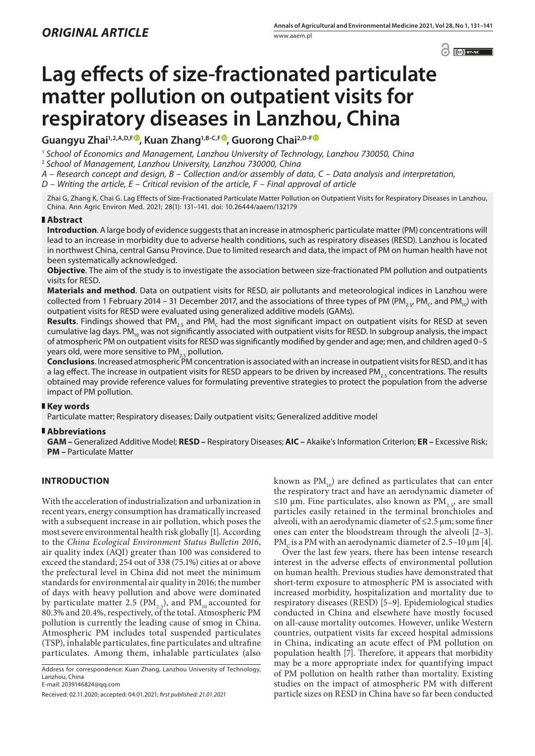$\odot$   $\odot$   $BY-NC$ 

# **Lag effects of size-fractionated particulate matter pollution on outpatient visits for respiratory diseases in Lanzhou, China**

Guangyu Zhai<sup>1,2,A,D,[F](https://orcid.org/0000-0002-0128-9964)®, Kuan Zhang<sup>1,B-C,F®</sup>, Guorong Chai<sup>2,D-F®</sup></sup>

<sup>1</sup> *School of Economics and Management, Lanzhou University of Technology, Lanzhou 730050, China*

<sup>2</sup> *School of Management, Lanzhou University, Lanzhou 730000, China*

*A – Research concept and design, B – Collection and/or assembly of data, C – Data analysis and interpretation,* 

*D – Writing the article, E – Critical revision of the article, F – Final approval of article*

Zhai G, Zhang K, Chai G. Lag Effects of Size-Fractionated Particulate Matter Pollution on Outpatient Visits for Respiratory Diseases in Lanzhou, China. Ann Agric Environ Med. 2021; 28(1): 131–141. doi: 10.26444/aaem/132179

# **Abstract**

**Introduction**. A large body of evidence suggests that an increase in atmospheric particulate matter (PM) concentrations will lead to an increase in morbidity due to adverse health conditions, such as respiratory diseases (RESD). Lanzhou is located in northwest China, central Gansu Province. Due to limited research and data, the impact of PM on human health have not been systematically acknowledged.

**Objective**. The aim of the study is to investigate the association between size-fractionated PM pollution and outpatients visits for RESD.

**Materials and method**. Data on outpatient visits for RESD, air pollutants and meteorological indices in Lanzhou were collected from 1 February 2014 – 31 December 2017, and the associations of three types of PM (PM<sub>25</sub>, PM<sub>C</sub>, and PM<sub>10</sub>) with outpatient visits for RESD were evaluated using generalized additive models (GAMs).

Results. Findings showed that PM<sub>25</sub> and PM<sub>c</sub> had the most significant impact on outpatient visits for RESD at seven cumulative lag days. PM<sub>10</sub> was not significantly associated with outpatient visits for RESD. In subgroup analysis, the impact of atmospheric PM on outpatient visits for RESD was significantly modified by gender and age; men, and children aged 0–5 years old, were more sensitive to  $PM_{25}$  pollution.

**Conclusions**. Increased atmospheric PM concentration is associated with an increase in outpatient visits for RESD, and it has a lag effect. The increase in outpatient visits for RESD appears to be driven by increased PM<sub>25</sub> concentrations. The results obtained may provide reference values for formulating preventive strategies to protect the population from the adverse impact of PM pollution.

# **Key words**

Particulate matter; Respiratory diseases; Daily outpatient visits; Generalized additive model

# **Abbreviations**

**GAM –** Generalized Additive Model; **RESD –** Respiratory Diseases; **AIC –** Akaike's Information Criterion; **ER –** Excessive Risk; **PM –** Particulate Matter

# **INTRODUCTION**

With the acceleration of industrialization and urbanization in recent years, energy consumption has dramatically increased with a subsequent increase in air pollution, which poses the most severe environmental health risk globally [1]. According to the *China Ecological Environment Status Bulletin 2016*, air quality index (AQI) greater than 100 was considered to exceed the standard; 254 out of 338 (75.1%) cities at or above the prefectural level in China did not meet the minimum standards for environmental air quality in 2016; the number of days with heavy pollution and above were dominated by particulate matter 2.5 (PM<sub>2.5</sub>), and PM<sub>10</sub> accounted for 80.3% and 20.4%, respectively, of the total. Atmospheric PM pollution is currently the leading cause of smog in China. Atmospheric PM includes total suspended particulates (TSP), inhalable particulates, fine particulates and ultrafine particulates. Among them, inhalable particulates (also

Address for correspondence: Kuan Zhang, Lanzhou University of Technology, Lanzhou, China E-mail: 2039146824@qq.com

known as  $PM_{10}$ ) are defined as particulates that can enter the respiratory tract and have an aerodynamic diameter of ≤10 μm. Fine particulates, also known as PM<sub>2.5</sub>, are small particles easily retained in the terminal bronchioles and alveoli, with an aerodynamic diameter of  $\leq$ 2.5 µm; some finer ones can enter the bloodstream through the alveoli [2–3]. PM<sub>c</sub> is a PM with an aerodynamic diameter of 2.5–10  $\mu$ m [4].

Over the last few years, there has been intense research interest in the adverse effects of environmental pollution on human health. Previous studies have demonstrated that short-term exposure to atmospheric PM is associated with increased morbidity, hospitalization and mortality due to respiratory diseases (RESD) [5–9]. Epidemiological studies conducted in China and elsewhere have mostly focused on all-cause mortality outcomes. However, unlike Western countries, outpatient visits far exceed hospital admissions in China, indicating an acute effect of PM pollution on population health [7]. Therefore, it appears that morbidity may be a more appropriate index for quantifying impact of PM pollution on health rather than mortality. Existing studies on the impact of atmospheric PM with different particle sizes on RESD in China have so far been conducted

Received: 02.11.2020; accepted: 04.01.2021; *first published: 21.01.2021*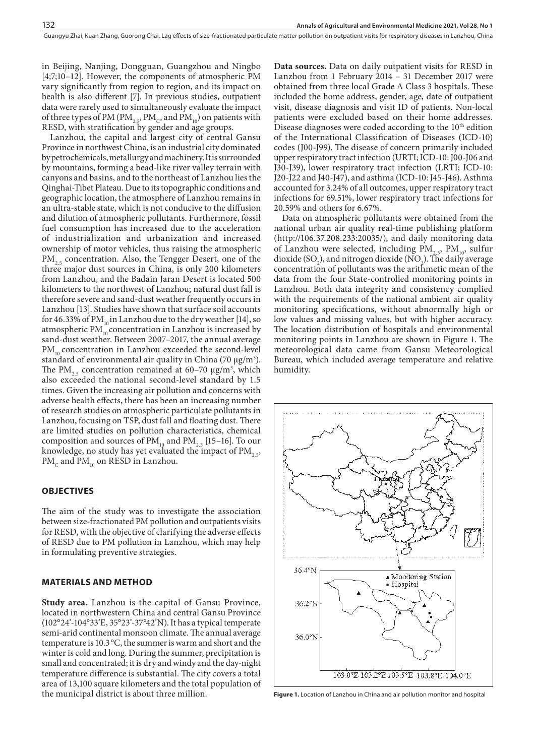in Beijing, Nanjing, Dongguan, Guangzhou and Ningbo [4;7;10–12]. However, the components of atmospheric PM vary significantly from region to region, and its impact on health is also different [7]. In previous studies, outpatient data were rarely used to simultaneously evaluate the impact of three types of PM (PM<sub>2.5</sub>, PM<sub>C</sub>, and PM<sub>10</sub>) on patients with RESD, with stratification by gender and age groups.

Lanzhou, the capital and largest city of central Gansu Province in northwest China, is an industrial city dominated by petrochemicals, metallurgy and machinery. It is surrounded by mountains, forming a bead-like river valley terrain with canyons and basins, and to the northeast of Lanzhou lies the Qinghai-Tibet Plateau. Due to its topographic conditions and geographic location, the atmosphere of Lanzhou remains in an ultra-stable state, which is not conducive to the diffusion and dilution of atmospheric pollutants. Furthermore, fossil fuel consumption has increased due to the acceleration of industrialization and urbanization and increased ownership of motor vehicles, thus raising the atmospheric PM<sub>2.5</sub> concentration. Also, the Tengger Desert, one of the three major dust sources in China, is only 200 kilometers from Lanzhou, and the Badain Jaran Desert is located 500 kilometers to the northwest of Lanzhou; natural dust fall is therefore severe and sand-dust weather frequently occurs in Lanzhou [13]. Studies have shown that surface soil accounts for 46.33% of PM<sub>10</sub> in Lanzhou due to the dry weather [14], so atmospheric PM $_{10}^{\circ}$  concentration in Lanzhou is increased by sand-dust weather. Between 2007–2017, the annual average PM<sub>10</sub> concentration in Lanzhou exceeded the second-level standard of environmental air quality in China (70 μg/m<sup>3</sup>). The  $PM_{2.5}$  concentration remained at 60–70  $\mu$ g/m<sup>3</sup>, which also exceeded the national second-level standard by 1.5 times. Given the increasing air pollution and concerns with adverse health effects, there has been an increasing number of research studies on atmospheric particulate pollutants in Lanzhou, focusing on TSP, dust fall and floating dust. There are limited studies on pollution characteristics, chemical composition and sources of  $PM_{10}$  and  $PM_{2.5}$  [15–16]. To our knowledge, no study has yet evaluated the impact of  $PM$ <sub>2.5</sub>,  $PM<sub>c</sub>$  and  $PM<sub>10</sub>$  on RESD in Lanzhou.

## **OBJECTIVES**

The aim of the study was to investigate the association between size-fractionated PM pollution and outpatients visits for RESD, with the objective of clarifying the adverse effects of RESD due to PM pollution in Lanzhou, which may help in formulating preventive strategies.

## **MATERIALS AND METHOD**

**Study area.** Lanzhou is the capital of Gansu Province, located in northwestern China and central Gansu Province (102°24'-104°33'E, 35°23'-37°42'N). It has a typical temperate semi-arid continental monsoon climate. The annual average temperature is 10.3°C, the summer is warm and short and the winter is cold and long. During the summer, precipitation is small and concentrated; it is dry and windy and the day-night temperature difference is substantial. The city covers a total area of 13,100 square kilometers and the total population of the municipal district is about three million.

**Data sources.** Data on daily outpatient visits for RESD in Lanzhou from 1 February 2014 – 31 December 2017 were obtained from three local Grade A Class 3 hospitals. These included the home address, gender, age, date of outpatient visit, disease diagnosis and visit ID of patients. Non-local patients were excluded based on their home addresses. Disease diagnoses were coded according to the 10<sup>th</sup> edition of the International Classification of Diseases (ICD-10) codes (J00-J99). The disease of concern primarily included upper respiratory tract infection (URTI; ICD-10: J00-J06 and J30-J39), lower respiratory tract infection (LRTI; ICD-10: J20-J22 and J40-J47), and asthma (ICD-10: J45-J46). Asthma accounted for 3.24% of all outcomes, upper respiratory tract infections for 69.51%, lower respiratory tract infections for 20.59% and others for 6.67%.

Data on atmospheric pollutants were obtained from the national urban air quality real-time publishing platform [\(http://106.37.208.233:20035/](http://106.37.208.233:20035/)), and daily monitoring data of Lanzhou were selected, including  $PM_{2.5}$ ,  $PM_{10}$ , sulfur dioxide (SO<sub>2</sub>), and nitrogen dioxide (NO<sub>2</sub>). The daily average concentration of pollutants was the arithmetic mean of the data from the four State-controlled monitoring points in Lanzhou. Both data integrity and consistency complied with the requirements of the national ambient air quality monitoring specifications, without abnormally high or low values and missing values, but with higher accuracy. The location distribution of hospitals and environmental monitoring points in Lanzhou are shown in Figure 1. The meteorological data came from Gansu Meteorological Bureau, which included average temperature and relative humidity.



**Figure 1.** Location of Lanzhou in China and air pollution monitor and hospital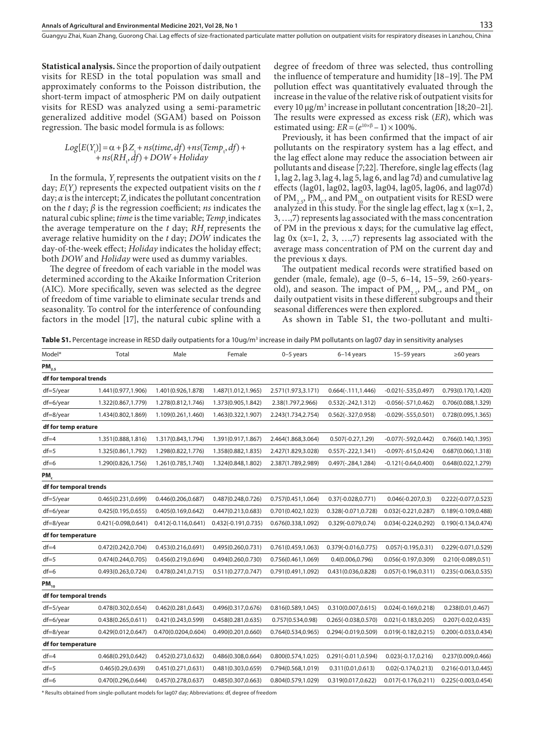**Statistical analysis.** Since the proportion of daily outpatient visits for RESD in the total population was small and approximately conforms to the Poisson distribution, the short-term impact of atmospheric PM on daily outpatient visits for RESD was analyzed using a semi-parametric generalized additive model (SGAM) based on Poisson regression. The basic model formula is as follows:

# $Log[E(Y_t)] = \alpha + \beta Z_t + ns(time, df) + ns(Temp_t, df) +$ +*ns*(*RH*<sup>t</sup> ,*df*)+*DOW*+*Holiday*

In the formula, *Y* represents the outpatient visits on the *t* day;  $E(Y_t)$  represents the expected outpatient visits on the *t* day; *α* is the intercept; Z<sub>i</sub> indicates the pollutant concentration on the *t* day; *β* is the regression coefficient; *ns* indicates the natural cubic spline; *time* is the time variable; *Temp* indicates the average temperature on the *t* day; *RH* represents the average relative humidity on the *t* day; *DOW* indicates the day-of-the-week effect; *Holiday* indicates the holiday effect; both *DOW* and *Holiday* were used as dummy variables.

The degree of freedom of each variable in the model was determined according to the Akaike Information Criterion (AIC). More specifically, seven was selected as the degree of freedom of time variable to eliminate secular trends and seasonality. To control for the interference of confounding factors in the model [17], the natural cubic spline with a

degree of freedom of three was selected, thus controlling the influence of temperature and humidity [18–19]. The PM pollution effect was quantitatively evaluated through the increase in the value of the relative risk of outpatient visits for every 10 μg/m<sup>3</sup> increase in pollutant concentration [18;20–21]. The results were expressed as excess risk (*ER*), which was estimated using:  $ER = (e^{10\times\beta} - 1) \times 100\%$ .

Previously, it has been confirmed that the impact of air pollutants on the respiratory system has a lag effect, and the lag effect alone may reduce the association between air pollutants and disease [7;22]. Therefore, single lag effects (lag 1, lag 2, lag 3, lag 4, lag 5, lag 6, and lag 7d) and cumulative lag effects (lag01, lag02, lag03, lag04, lag05, lag06, and lag07d) of PM<sub>2.5</sub>, PM<sub>c</sub>, and PM<sub>10</sub> on outpatient visits for RESD were analyzed in this study. For the single lag effect, lag  $x (x=1, 2, 3)$ 3, …,7) represents lag associated with the mass concentration of PM in the previous x days; for the cumulative lag effect, lag 0x (x=1, 2, 3, …,7) represents lag associated with the average mass concentration of PM on the current day and the previous x days.

The outpatient medical records were stratified based on gender (male, female), age (0–5, 6–14, 15–59, ≥60-yearsold), and season. The impact of  $PM_{2,5}$ ,  $PM_{C}$ , and  $PM_{10}$  on daily outpatient visits in these different subgroups and their seasonal differences were then explored.

As shown in Table S1, the two-pollutant and multi-

**Table S1.** Percentage increase in RESD daily outpatients for a 10ug/m<sup>3</sup> increase in daily PM pollutants on lag07 day in sensitivity analyses

| Model*                 | Total                  | Male                   | Female              | $0-5$ years         | 6-14 years             | $15-59$ years          | $\geq 60$ years        |
|------------------------|------------------------|------------------------|---------------------|---------------------|------------------------|------------------------|------------------------|
| $PM_{2.5}$             |                        |                        |                     |                     |                        |                        |                        |
| df for temporal trends |                        |                        |                     |                     |                        |                        |                        |
| $df=5/year$            | 1.441(0.977,1.906)     | 1.401(0.926,1.878)     | 1.487(1.012,1.965)  | 2.571(1.973,3.171)  | $0.664(-.111, 1.446)$  | $-0.021(-.535, 0.497)$ | 0.793(0.170,1.420)     |
| df=6/year              | 1.322(0.867,1.779)     | 1.278(0.812,1.746)     | 1.373(0.905,1.842)  | 2.38(1.797,2.966)   | $0.532(-.242, 1.312)$  | $-0.056(-.571, 0.462)$ | 0.706(0.088,1.329)     |
| $df=8$ /year           | 1.434(0.802,1.869)     | 1.109(0.261,1.460)     | 1.463(0.322,1.907)  | 2.243(1.734,2.754)  | $0.562(-.327, 0.958)$  | $-0.029(-.555, 0.501)$ | 0.728(0.095,1.365)     |
| df for temp erature    |                        |                        |                     |                     |                        |                        |                        |
| $df = 4$               | 1.351(0.888,1.816)     | 1.317(0.843,1.794)     | 1.391(0.917,1.867)  | 2.464(1.868,3.064)  | $0.507(-0.27, 1.29)$   | $-0.077(-.592, 0.442)$ | 0.766(0.140, 1.395)    |
| $df = 5$               | 1.325(0.861,1.792)     | 1.298(0.822,1.776)     | 1.358(0.882,1.835)  | 2.427(1.829,3.028)  | $0.557(-.222, 1.341)$  | $-0.097(-615, 0.424)$  | 0.687(0.060, 1.318)    |
| $df=6$                 | 1.290(0.826,1.756)     | 1.261(0.785,1.740)     | 1.324(0.848,1.802)  | 2.387(1.789,2.989)  | $0.497(-.284, 1.284)$  | $-0.121(-0.64, 0.400)$ | 0.648(0.022, 1.279)    |
| PM,                    |                        |                        |                     |                     |                        |                        |                        |
| df for temporal trends |                        |                        |                     |                     |                        |                        |                        |
| $df=5/year$            | 0.465(0.231,0.699)     | 0.446(0.206,0.687)     | 0.487(0.248,0.726)  | 0.757(0.451,1.064)  | $0.37(-0.028, 0.771)$  | $0.046(-0.207, 0.3)$   | 0.222(-0.077,0.523)    |
| df=6/year              | 0.425(0.195,0.655)     | 0.405(0.169,0.642)     | 0.447(0.213,0.683)  | 0.701(0.402,1.023)  | 0.328(-0.071,0.728)    | $0.032(-0.221, 0.287)$ | 0.189(-0.109,0.488)    |
| df=8/year              | $0.421(-0.098, 0.641)$ | $0.412(-0.116, 0.641)$ | 0.432(-0.191,0.735) | 0.676(0.338,1.092)  | 0.329(-0.079,0.74)     | $0.034(-0.224, 0.292)$ | 0.190(-0.134,0.474)    |
| df for temperature     |                        |                        |                     |                     |                        |                        |                        |
| $df = 4$               | 0.472(0.242,0.704)     | 0.453(0.216,0.691)     | 0.495(0.260,0.731)  | 0.761(0.459,1.063)  | 0.379(-0.016,0.775)    | $0.057(-0.195, 0.31)$  | 0.229(-0.071,0.529)    |
| $df = 5$               | 0.474(0.244,0.705)     | 0.456(0.219,0.694)     | 0.494(0.260,0.730)  | 0.756(0.461,1.069)  | 0.4(0.006, 0.796)      | 0.056(-0.197,0.309)    | $0.210(-0.089, 0.51)$  |
| $df=6$                 | 0.493(0.263,0.724)     | 0.478(0.241,0.715)     | 0.511(0.277, 0.747) | 0.791(0.491, 1.092) | 0.431(0.036,0.828)     | $0.057(-0.196, 0.311)$ | $0.235(-0.063, 0.535)$ |
| $PM_{10}$              |                        |                        |                     |                     |                        |                        |                        |
| df for temporal trends |                        |                        |                     |                     |                        |                        |                        |
| $df=5/year$            | 0.478(0.302,0.654)     | 0.462(0.281,0.643)     | 0.496(0.317,0.676)  | 0.816(0.589, 1.045) | 0.310(0.007, 0.615)    | $0.024(-0.169, 0.218)$ | 0.238(0.01, 0.467)     |
| df=6/year              | 0.438(0.265,0.611)     | 0.421(0.243,0.599)     | 0.458(0.281,0.635)  | 0.757(0.534,0.98)   | $0.265(-0.038, 0.570)$ | $0.021(-0.183, 0.205)$ | $0.207(-0.02, 0.435)$  |
| df=8/year              | 0.429(0.012,0.647)     | 0.470(0.0204,0.604)    | 0.490(0.201,0.660)  | 0.764(0.534,0.965)  | 0.294(-0.019,0.509)    | $0.019(-0.182, 0.215)$ | 0.200(-0.033,0.434)    |
| df for temperature     |                        |                        |                     |                     |                        |                        |                        |
| $df = 4$               | 0.468(0.293,0.642)     | 0.452(0.273,0.632)     | 0.486(0.308,0.664)  | 0.800(0.574, 1.025) | 0.291(-0.011,0.594)    | $0.023(-0.17, 0.216)$  | 0.237(0.009,0.466)     |
| $df = 5$               | 0.465(0.29, 0.639)     | 0.451(0.271,0.631)     | 0.481(0.303,0.659)  | 0.794(0.568,1.019)  | 0.311(0.01, 0.613)     | $0.02(-0.174, 0.213)$  | 0.216(-0.013,0.445)    |
| $df=6$                 | 0.470(0.296,0.644)     | 0.457(0.278,0.637)     | 0.485(0.307,0.663)  | 0.804(0.579,1.029)  | 0.319(0.017,0.622)     | $0.017(-0.176, 0.211)$ | $0.225(-0.003, 0.454)$ |
|                        |                        |                        |                     |                     |                        |                        |                        |

\* Results obtained from single-pollutant models for lag07 day; Abbreviations: df, degree of freedom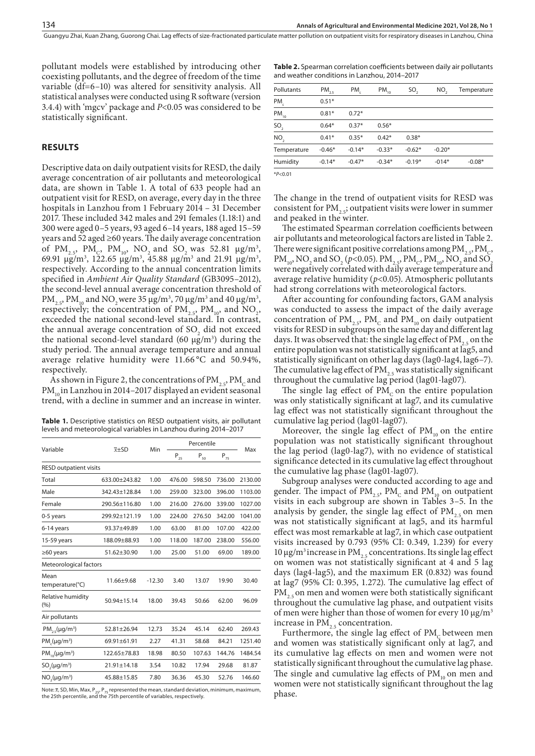pollutant models were established by introducing other coexisting pollutants, and the degree of freedom of the time variable (df=6–10) was altered for sensitivity analysis. All statistical analyses were conducted using R software (version 3.4.4) with 'mgcv' package and *P*<0.05 was considered to be statistically significant.

# **RESULTS**

Descriptive data on daily outpatient visits for RESD, the daily average concentration of air pollutants and meteorological data, are shown in Table 1. A total of 633 people had an outpatient visit for RESD, on average, every day in the three hospitals in Lanzhou from 1 February 2014 – 31 December 2017. These included 342 males and 291 females (1.18:1) and 300 were aged 0–5 years, 93 aged 6–14 years, 188 aged 15–59 years and 52 aged ≥60 years. The daily average concentration of  $PM_{2.5}$ ,  $PM_{C}$ ,  $PM_{10}$ ,  $NO_{2}$  and  $SO_{2}$  was 52.81  $\mu$ g/m<sup>3</sup>, 69.91 μg/m<sup>3</sup>, 122.65 μg/m<sup>3</sup>, 45.88 μg/m<sup>3</sup> and 21.91 μg/m<sup>3</sup>, respectively. According to the annual concentration limits specified in *Ambient Air Quality Standard* (GB3095–2012), the second-level annual average concentration threshold of  $PM_{2.5}$ ,  $PM_{10}$  and  $NO_2$  were 35  $\mu$ g/m<sup>3</sup>, 70  $\mu$ g/m<sup>3</sup> and 40  $\mu$ g/m<sup>3</sup>, respectively; the concentration of  $PM_{2.5}$ ,  $PM_{10}$ , and  $NO_2$ , exceeded the national second-level standard. In contrast, the annual average concentration of  $SO_2$  did not exceed the national second-level standard (60  $\mu$ g/m<sup>3</sup>) during the study period. The annual average temperature and annual average relative humidity were 11.66 °C and 50.94%, respectively.

As shown in Figure 2, the concentrations of  $PM_{2,5}$ ,  $PM_{C}$  and  $PM_{10}$  in Lanzhou in 2014–2017 displayed an evident seasonal trend, with a decline in summer and an increase in winter.

**Table 1.** Descriptive statistics on RESD outpatient visits, air pollutant levels and meteorological variables in Lanzhou during 2014–2017

|                               |                    |          |          | Percentile                 |                   |         |
|-------------------------------|--------------------|----------|----------|----------------------------|-------------------|---------|
| Variable                      | $\overline{x}$ +SD | Min      | $P_{25}$ | $\mathsf{P}_{\mathsf{50}}$ | $\mathsf{P}_{75}$ | Max     |
| <b>RESD outpatient visits</b> |                    |          |          |                            |                   |         |
| Total                         | 633.00±243.82      | 1.00     | 476.00   | 598.50                     | 736.00            | 2130.00 |
| Male                          | 342.43±128.84      | 1.00     | 259.00   | 323.00                     | 396.00            | 1103.00 |
| Female                        | 290.56±116.80      | 1.00     | 216.00   | 276.00                     | 339.00            | 1027.00 |
| 0-5 years                     | 299.92±121.19      | 1.00     | 224.00   | 276.50                     | 342.00            | 1041.00 |
| 6-14 years                    | 93.37±49.89        | 1.00     | 63.00    | 81.00                      | 107.00            | 422.00  |
| 15-59 years                   | 188.09±88.93       | 1.00     | 118.00   | 187.00                     | 238.00            | 556.00  |
| $\geq 60$ years               | 51.62±30.90        | 1.00     | 25.00    | 51.00                      | 69.00             | 189.00  |
| Meteorological factors        |                    |          |          |                            |                   |         |
| Mean<br>temperature(°C)       | 11.66±9.68         | $-12.30$ | 3.40     | 13.07                      | 19.90             | 30.40   |
| Relative humidity<br>(%)      | 50.94±15.14        | 18.00    | 39.43    | 50.66                      | 62.00             | 96.09   |
| Air pollutants                |                    |          |          |                            |                   |         |
| $PM_{25}(\mu g/m^3)$          | 52.81±26.94        | 12.73    | 35.24    | 45.14                      | 62.40             | 269.43  |
| $PM(\mu g/m^3)$               | 69.91±61.91        | 2.27     | 41.31    | 58.68                      | 84.21             | 1251.40 |
| $PM_{10}(\mu g/m^3)$          | 122.65±78.83       | 18.98    | 80.50    | 107.63                     | 144.76            | 1484.54 |
| $SO_{2}(\mu g/m^{3})$         | 21.91±14.18        | 3.54     | 10.82    | 17.94                      | 29.68             | 81.87   |
| $NO2(\mu g/m3)$               | 45.88±15.85        | 7.80     | 36.36    | 45.30                      | 52.76             | 146.60  |
|                               |                    |          |          |                            |                   |         |

Note:  $\overline{x}$ , SD, Min, Max, P<sub>25</sub>, P<sub>75</sub> represented the mean, standard deviation, minimum, maximum,<br>the 25th percentile, and the 75th percentile of variables, respectively.

**Table 2.** Spearman correlation coefficients between daily air pollutants and weather conditions in Lanzhou, 2014–2017

| Pollutants      | $PM_{2.5}$ | PM,      | $PM_{10}$ | SO <sub>2</sub> | NO,      | Temperature |
|-----------------|------------|----------|-----------|-----------------|----------|-------------|
| PM <sub>c</sub> | $0.51*$    |          |           |                 |          |             |
| $PM_{10}$       | $0.81*$    | $0.72*$  |           |                 |          |             |
| SO <sub>2</sub> | $0.64*$    | $0.37*$  | $0.56*$   |                 |          |             |
| NO,             | $0.41*$    | $0.35*$  | $0.42*$   | $0.38*$         |          |             |
| Temperature     | $-0.46*$   | $-0.14*$ | $-0.33*$  | $-0.62*$        | $-0.20*$ |             |
| Humidity        | $-0.14*$   | $-0.47*$ | $-0.34*$  | $-0.19*$        | $-014*$  | $-0.08*$    |
|                 |            |          |           |                 |          |             |

\**P*<0.01

The change in the trend of outpatient visits for RESD was consistent for  $PM_{2,5}$ ; outpatient visits were lower in summer and peaked in the winter.

The estimated Spearman correlation coefficients between air pollutants and meteorological factors are listed in Table 2. There were significant positive correlations among  $PM_{2,5}$ ,  $PM_{C}$ , PM<sub>10</sub>, NO<sub>2</sub> and SO<sub>2</sub> (*p*<0.05). PM<sub>2.5</sub>, PM<sub>C</sub>, PM<sub>10</sub>, NO<sub>2</sub> and SO<sub>3</sub> were negatively correlated with daily average temperature and average relative humidity (*p*<0.05). Atmospheric pollutants had strong correlations with meteorological factors.

After accounting for confounding factors, GAM analysis was conducted to assess the impact of the daily average concentration of  $PM_{2.5}$ ,  $PM_{C}$  and  $PM_{10}$  on daily outpatient visits for RESD in subgroups on the same day and different lag days. It was observed that: the single lag effect of  $PM_{2.5}$  on the entire population was not statistically significant at lag5, and statistically significant on other lag days (lag0-lag4, lag6–7). The cumulative lag effect of  $PM_{2.5}$  was statistically significant throughout the cumulative lag period (lag01-lag07).

The single lag effect of  $PM<sub>c</sub>$  on the entire population was only statistically significant at lag7, and its cumulative lag effect was not statistically significant throughout the cumulative lag period (lag01-lag07).

Moreover, the single lag effect of  $PM_{10}$  on the entire population was not statistically significant throughout the lag period (lag0-lag7), with no evidence of statistical significance detected in its cumulative lag effect throughout the cumulative lag phase (lag01-lag07).

Subgroup analyses were conducted according to age and gender. The impact of  $PM_{2.5}$ ,  $PM_{C}$  and  $PM_{10}$  on outpatient visits in each subgroup are shown in Tables 3–5. In the analysis by gender, the single lag effect of  $PM_{2,5}$  on men was not statistically significant at lag5, and its harmful effect was most remarkable at lag7, in which case outpatient visits increased by 0.793 (95% CI: 0.349, 1.239) for every 10 μg/m<sup>3</sup> increase in PM<sub>25</sub> concentrations. Its single lag effect on women was not statistically significant at 4 and 5 lag days (lag4-lag5), and the maximum ER (0.832) was found at lag7 (95% CI: 0.395, 1.272). The cumulative lag effect of  $PM_{2.5}$  on men and women were both statistically significant throughout the cumulative lag phase, and outpatient visits of men were higher than those of women for every 10 μg/m3 increase in  $PM$ <sub>2.5</sub> concentration.

Furthermore, the single lag effect of  $PM_c$  between men and women was statistically significant only at lag7, and its cumulative lag effects on men and women were not statistically significant throughout the cumulative lag phase. The single and cumulative lag effects of  $PM$ <sub>10</sub> on men and women were not statistically significant throughout the lag phase.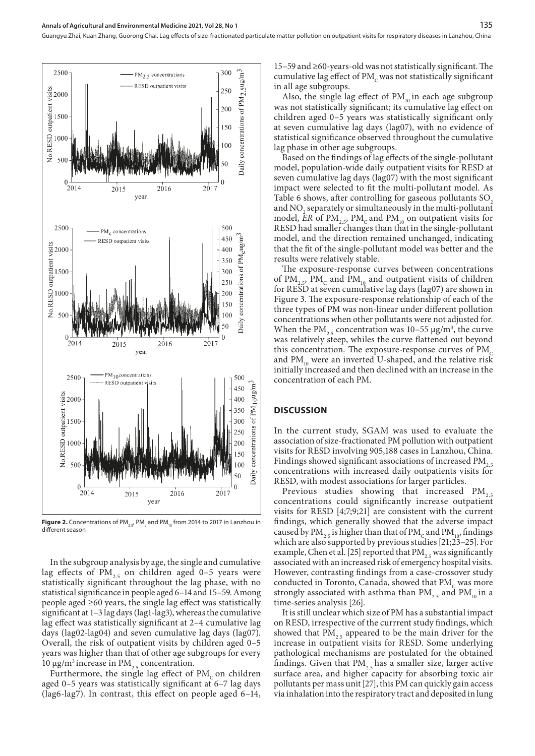

**Figure 2.** Concentrations of PM<sub>2.5</sub>, PM<sub>c</sub> and PM<sub>10</sub> from 2014 to 2017 in Lanzhou in different season

In the subgroup analysis by age, the single and cumulative lag effects of  $PM_{2,5}$  on children aged 0–5 years were statistically significant throughout the lag phase, with no statistical significance in people aged 6–14 and 15–59. Among people aged ≥60 years, the single lag effect was statistically significant at 1–3 lag days (lag1-lag3), whereas the cumulative lag effect was statistically significant at 2–4 cumulative lag days (lag02-lag04) and seven cumulative lag days (lag07). Overall, the risk of outpatient visits by children aged 0–5 years was higher than that of other age subgroups for every 10 μg/m<sup>3</sup> increase in PM<sub>2.5</sub> concentration.

Furthermore, the single lag effect of  $PM<sub>c</sub>$  on children aged 0–5 years was statistically significant at 6–7 lag days (lag6-lag7). In contrast, this effect on people aged 6–14,

15–59 and ≥60-years-old was not statistically significant. The cumulative lag effect of PM<sub>c</sub> was not statistically significant in all age subgroups.

Also, the single lag effect of  $PM_{10}$  in each age subgroup was not statistically significant; its cumulative lag effect on children aged 0–5 years was statistically significant only at seven cumulative lag days (lag07), with no evidence of statistical significance observed throughout the cumulative lag phase in other age subgroups.

Based on the findings of lag effects of the single-pollutant model, population-wide daily outpatient visits for RESD at seven cumulative lag days (lag07) with the most significant impact were selected to fit the multi-pollutant model. As Table 6 shows, after controlling for gaseous pollutants SO<sub>2</sub> and  $\rm NO_2$  separately or simultaneously in the multi-pollutant model, *ER* of PM<sub>2.5</sub>, PM<sub>c</sub> and PM<sub>10</sub> on outpatient visits for RESD had smaller changes than that in the single-pollutant model, and the direction remained unchanged, indicating that the fit of the single-pollutant model was better and the results were relatively stable.

The exposure-response curves between concentrations of PM<sub>2.5</sub>, PM<sub>c</sub> and PM<sub>10</sub> and outpatient visits of children for RESD at seven cumulative lag days (lag07) are shown in Figure 3. The exposure-response relationship of each of the three types of PM was non-linear under different pollution concentrations when other pollutants were not adjusted for. When the  $PM_{2.5}$  concentration was 10–55  $\mu$ g/m<sup>3</sup>, the curve was relatively steep, whiles the curve flattened out beyond this concentration. The exposure-response curves of  $PM<sub>c</sub>$ and  $PM_{10}$  were an inverted U-shaped, and the relative risk initially increased and then declined with an increase in the concentration of each PM.

## **DISCUSSION**

In the current study, SGAM was used to evaluate the association of size-fractionated PM pollution with outpatient visits for RESD involving 905,188 cases in Lanzhou, China. Findings showed significant associations of increased  $PM_{2.5}$ concentrations with increased daily outpatients visits for RESD, with modest associations for larger particles.

Previous studies showing that increased PM<sub>2</sub> concentrations could significantly increase outpatient visits for RESD [4;7;9;21] are consistent with the current findings, which generally showed that the adverse impact caused by PM<sub>2.5</sub> is higher than that of PM<sub>c</sub> and PM<sub>10</sub>, findings which are also supported by previous studies [21;23–25]. For example, Chen et al. [25] reported that PM<sub>25</sub> was significantly associated with an increased risk of emergency hospital visits. However, contrasting findings from a case-crossover study conducted in Toronto, Canada, showed that  $PM<sub>c</sub>$  was more strongly associated with asthma than  $PM_{2.5}$  and  $PM_{10}$  in a time-series analysis [26].

It is still unclear which size of PM has a substantial impact on RESD, irrespective of the currrent study findings, which showed that  $PM_{2.5}$  appeared to be the main driver for the increase in outpatient visits for RESD. Some underlying pathological mechanisms are postulated for the obtained findings. Given that  $PM_{2.5}$  has a smaller size, larger active surface area, and higher capacity for absorbing toxic air pollutants per mass unit [27], this PM can quickly gain access via inhalation into the respiratory tract and deposited in lung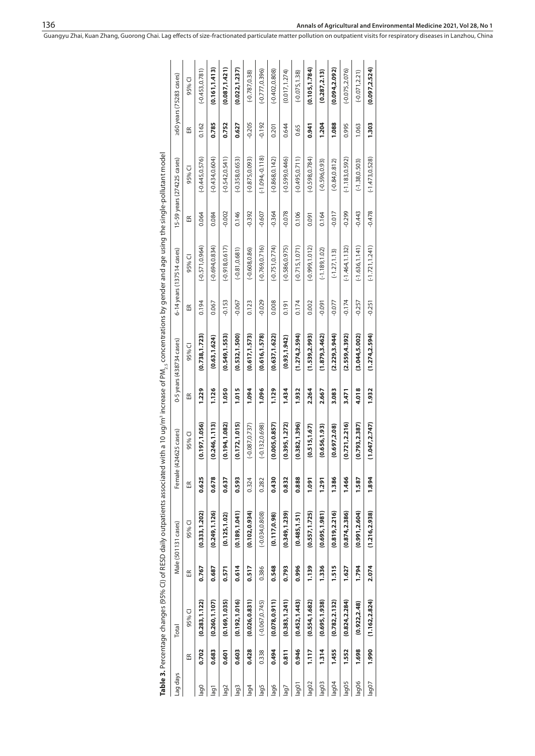| Lag days |       | Total             |       | Male (501131 cases) | Female | (424625 cases)    |       | 0-5 years (438734 cases) |          | 6-14 years (137514 cases) |              | 15-59 years (274225 cases) |              | >60 years (75283 cases) |
|----------|-------|-------------------|-------|---------------------|--------|-------------------|-------|--------------------------|----------|---------------------------|--------------|----------------------------|--------------|-------------------------|
|          | Æ     | 95% CI            | Æ     | 95%CI               | Æ      | 95% CI            | 岛     | 95% CI                   | Æ        | 95% CI                    | $\mathbb{E}$ | 95% CI                     | $\mathbb{E}$ | 95% CI                  |
| lag0     | 0.702 | (0.283, 1.122)    | 0.767 | (0.333, 1.202)      | 0.625  | (0.197, 1.056)    | 1.229 | (0.738, 1.723)           | 0.194    | $(-0.571, 0.964)$         | 0.064        | $(-0.445, 0.576)$          | 0.162        | $(-0.453, 0.781)$       |
| lag1     | 0.683 | (0.260, 1.107)    | 0.687 | (0.249, 1.126)      | 0.678  | (0.246, 1.113)    | 1.126 | (0.63, 1.624)            | 0.067    | $(-0.694, 0.834)$         | 0.084        | $(-0.434, 0.604)$          | 0.785        | (0.161, 1.413)          |
| lag2     | 0.601 | (0.169, 1.035)    | 0.571 | (0.125, 1.02)       | 0.637  | (0.194, 1.082)    | 1.050 | (0.549, 1.553)           | $-0.153$ | $(-0.918, 0.617)$         | $-0.002$     | $(-0.542, 0.541)$          | 0.752        | (0.087, 1.421)          |
| lag3     | 0.603 | (0.192, 1.016)    | 0.614 | (0.189, 1.041)      | 0.593  | (0.172, 1.015)    | 1.015 | (0.532, 1.500)           | $-0.067$ | $(-0.81, 0.681)$          | 0.146        | $(-0.358, 0.653)$          | 0.627        | (0.022, 1.237)          |
| lag4     | 0.428 | (0.026, 0.831)    | 0.517 | (0.102, 0.934)      | 0.324  | $(-0.087, 0.737)$ | 1.094 | (0.617, 1.573)           | 0.123    | $(-0.608, 0.86)$          | $-0.392$     | $(-0.875, 0.093)$          | $-0.205$     | $(-0.787, 0.38)$        |
| lag5     | 0.338 | $(-0.067, 0.745)$ | 0.386 | $(-0.034, 0.808)$   | 0.282  | $(-0.132, 0.698)$ | 1.096 | (0.616, 1.578)           | $-0.029$ | $(-0.769, 0.716)$         | $-0.607$     | $(-1.094, 0.118)$          | $-0.192$     | $(-0.777, 0.396)$       |
| lag6     | 0.494 | (0.078, 0.911)    | 0.548 | (0.117, 0.98)       | 0.430  | (0.005, 0.857)    | 1.129 | (0.637, 1.622)           | 0.008    | $(-0.751, 0.774)$         | $-0.364$     | $(-0.868, 0.142)$          | 0.201        | $(-0.402, 0.808)$       |
| lgel     | 0.811 | (0.383, 1.241)    | 0.793 | (0.349, 1.239)      | 0.832  | (0.395, 1.272)    | 1.434 | (0.93, 1.942)            | 0.191    | $(-0.586, 0.975)$         | $-0.078$     | $(-0.599, 0.446)$          | 0.644        | (0.017, 1.274)          |
| lag01    | 0.946 | (0.452, 1.443)    | 0.996 | (0.485, 1.51)       | 0.888  | (0.382, 1.396)    | 1.932 | (1.274, 2.594)           | 0.174    | $(-0.715, 1.071)$         | 0.106        | $(-0.495, 0.711)$          | 0.65         | $(-0.075, 1.38)$        |
| lag02    | 1.117 | (0.554, 1.682)    | 1.139 | (0.557, 1.725)      | 1.091  | (0.515, 1.67)     | 2.264 | (1.539, 2.993)           | 0.002    | $(-0.999, 1.012)$         | 0.091        | $(-0.598, 0.784)$          | 0.941        | (0.105, 1.784)          |
| lag03    | 1.314 | (0.695, 1.938)    | 1.336 | (0.695, 1.981)      | 1.291  | (0.656, 1.93)     | 2.667 | (1.879, 3.462)           | $-0.091$ | $(-1.189, 1.02)$          | 0.164        | $(-0.596, 0.93)$           | 1.204        | (0.287, 2.13)           |
| lag04    | 1.455 | (0.782, 2.132)    | 1.515 | (0.819, 2.216)      | 1.386  | (0.697, 2.08)     | 3.083 | (2.229, 3.944)           | $-0.077$ | $(-1.27, 1.13)$           | $-0.017$     | $(-0.84, 0.812)$           | 1.088        | (0.094, 2.092)          |
| lag05    | 1.552 | (0.824, 2.284)    | 1.627 | (0.874, 2.386)      | 1.466  | (0.721, 2.216)    | 3.471 | (2.559, 4.392)           | $-0.174$ | $(-1.464, 1.132)$         | $-0.299$     | $(-1.183, 0.592)$          | 0.995        | $(-0.075, 2.076)$       |
| lag06    | 1.698 | (0.922, 2.48)     | 1.794 | (0.991, 2.604)      | 1.587  | (0.793, 2.387)    | 4.018 | (3.044, 5.002)           | $-0.257$ | $(-1.636, 1.141)$         | $-0.443$     | $(-1.38, 0.503)$           | 1.063        | $(-0.071, 2.21)$        |
| lag07    | 1.990 | (1.162, 2.824)    | 2.074 | (1.216, 2.938)      | 1.894  | (1.047, 2.747)    | 1.932 | (1.274, 2.594)           | $-0.251$ | $(-1.721, 1.241)$         | $-0.478$     | $(-1.473, 0.528)$          | 1.303        | (0.097, 2.524)          |
|          |       |                   |       |                     |        |                   |       |                          |          |                           |              |                            |              |                         |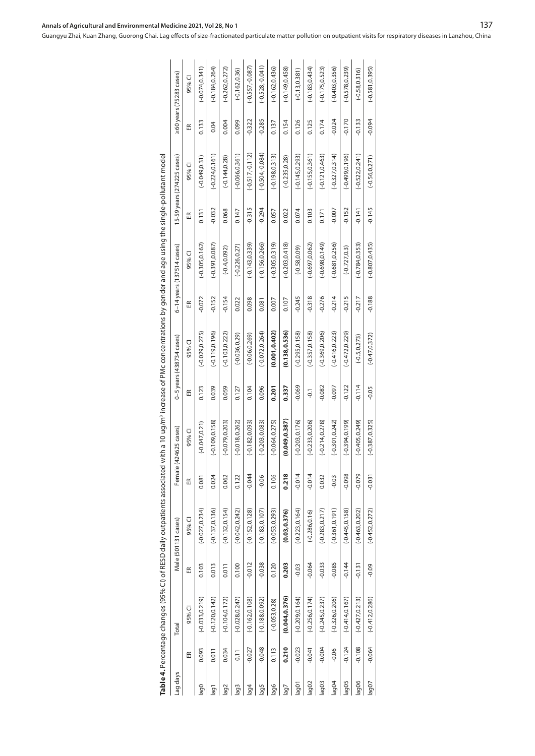|                |          |                   |          | Table 4. Percentage changes (95% CI) of RESD daily outpatients associated with a 10 ug/m <sup>3</sup> increase of PMc concentrations by gender and age using the single-pollutant model |          |                   |                |                              |          |                           |          |                            |          |                         |
|----------------|----------|-------------------|----------|-----------------------------------------------------------------------------------------------------------------------------------------------------------------------------------------|----------|-------------------|----------------|------------------------------|----------|---------------------------|----------|----------------------------|----------|-------------------------|
| Lag days       |          | Total             |          | Male (501131 cases)                                                                                                                                                                     | Femal    | le (424625 cases) |                | $0-5$ years $(438734$ cases) |          | 6-14 years (137514 cases) |          | 15-59 years (274225 cases) |          | >60 years (75283 cases) |
|                | 띥        | 95% CI            | Æ        | 95% CI                                                                                                                                                                                  | Æ        | 95% CI            | 岛              | 95% CI                       | 岛        | 95% CI                    | 岛        | 95%CI                      | Æ        | 95% CI                  |
| lag0           | 0.093    | $(-0.033, 0.219)$ | 0.103    | $(-0.027, 0.234)$                                                                                                                                                                       | 0.081    | $(-0.047, 0.21)$  | 0.123          | $(-0.029, 0.275)$            | $-0.072$ | $(-0.305, 0.162)$         | 0.131    | $(-0.049, 0.31)$           | 0.133    | $(-0.074, 0.341)$       |
| $\overline{1}$ | 0.011    | $(-0.120, 0.142)$ | 0.013    | $(-0.137, 0.136)$                                                                                                                                                                       | 0.024    | $(-0.109, 0.158)$ | 0.039          | $(-0.119, 0.196)$            | $-0.152$ | $(-0.391, 0.087)$         | 0.032    | $(-0.224, 0.161)$          | 0.04     | $(-0.184, 0.264)$       |
| lag2           | 0.034    | $(-0.104, 0.172)$ | 0.011    | $(-0.132, 0.154)$                                                                                                                                                                       | 0.062    | $(-0.079, 0.203)$ | 0.059          | $(-0.103, 0.222)$            | $-0.154$ | $(-0.4, 0.092)$           | 0.068    | $(-0.144, 0.28)$           | 0.004    | $(-0.262, 0.272)$       |
| lag3           | 0.11     | $(-0.028, 0.247)$ | 0.100    | $(-0.042, 0.242)$                                                                                                                                                                       | 0.122    | $(-0.018, 0.262)$ | 0.127          | $(-0.036, 0.29)$             | 0.022    | $(-0.226, 0.27)$          | 0.147    | $(-0.066, 0.361)$          | 0.099    | $(-0.162, 0.36)$        |
| lag4           | $-0.027$ | $(-0.162, 0.108)$ | $-0.012$ | $(-0.152, 0.128)$                                                                                                                                                                       | $-0.044$ | $(-0.182, 0.093)$ | 0.104          | $(-0.06, 0.269)$             | 0.098    | $(-0.143, 0.339)$         | $-0.315$ | $(-0.517,-0.112)$          | $-0.322$ | $(-0.557,-0.087)$       |
| lag5           | $-0.048$ | $(-0.188, 0.092)$ | $-0.038$ | $(-0.183, 0.107)$                                                                                                                                                                       | $-0.06$  | $(-0.203, 0.083)$ | 0.096          | $(-0.072, 0.264)$            | 0.081    | $(-0.156, 0.266)$         | $-0.294$ | $(-0.504,-0.084)$          | $-0.285$ | $(-0.528,-0.041)$       |
| lag6           | 0.113    | $(-0.053, 0.28)$  | 0.120    | $(-0.053, 0.293)$                                                                                                                                                                       | 0.106    | $(-0.064, 0.275)$ | 0.201          | (0.001, 0.402)               | 0.007    | $(-0.305, 0.319)$         | 0.057    | $(-0.198, 0.313)$          | 0.137    | $(-0.162, 0.436)$       |
| lag7           | 0.210    | (0.044, 0.376)    | 0.203    | (0.03, 0.376)                                                                                                                                                                           | 0.218    | (0.049, 0.387)    | 0.337          | (0.138, 0.536)               | 0.107    | $(-0.203, 0.418)$         | 0.022    | $(-0.235, 0.28)$           | 0.154    | $(-0.149, 0.458)$       |
| lag01          | $-0.023$ | $(-0.209, 0.164)$ | $-0.03$  | $(-0.223, 0.164)$                                                                                                                                                                       | $-0.014$ | $(-0.203, 0.176)$ | $-0.069$       | $(-0.295, 0.158)$            | $-0.245$ | $(-0.58, 0.09)$           | 0.074    | $(-0.145, 0.293)$          | 0.126    | $(-0.13, 0.381)$        |
| lag02          | $-0.041$ | $(-0.256, 0.174)$ | $-0.064$ | $(-0.286, 0.16)$                                                                                                                                                                        | $-0.014$ | $(-0.233, 0.206)$ | $\overline{5}$ | $(-0.357, 0.158)$            | $-0.318$ | $(-0.697, 0.062)$         | 0.103    | $(-0.155, 0.361)$          | 0.125    | $(-0.183, 0.434)$       |
| lag03          | $-0.004$ | $(-0.245, 0.237)$ | $-0.033$ | $(-0.283, 0.217)$                                                                                                                                                                       | 0.032    | $(-0.214, 0.278)$ | $-0.082$       | $(-0.369, 0.206)$            | $-0.276$ | $(-0.698, 0.149)$         | 0.171    | $(-0.121, 0.463)$          | 0.174    | $(-0.175, 0.523)$       |
| lag04          | $-0.06$  | $(-0.326, 0.206)$ | $-0.085$ | $(-0.361, 0.191)$                                                                                                                                                                       | $-0.03$  | $(-0.301, 0.242)$ | $760.0 -$      | $(-0.416, 0.223)$            | $-0.214$ | $(-0.681, 0.256)$         | $-0.007$ | $(-0.327, 0.314)$          | $-0.024$ | $(-0.403, 0.356)$       |
| lag05          | $-0.124$ | $(-0.414, 0.167)$ | $-0.144$ | $(-0.445, 0.158)$                                                                                                                                                                       | $-0.098$ | $(-0.394, 0.199)$ | $-0.122$       | $(-0.472, 0.229)$            | $-0.215$ | $(-0.727, 0.3)$           | $-0.152$ | $(-0.499, 0.196)$          | $-0.170$ | $(-0.578, 0.239)$       |
| lag06          | $-0.108$ | $(-0.427, 0.213)$ | $-0.131$ | $(-0.463, 0.202)$                                                                                                                                                                       | $-0.079$ | $(-0.405, 0.249)$ | $-0.114$       | $(-0.5, 0.273)$              | $-0.217$ | $(-0.784, 0.353)$         | $-0.141$ | $(-0.522, 0.241)$          | $-0.133$ | $(-0.58, 0.316)$        |
| lag07          | $-0.064$ | $(-0.412, 0.286)$ | $-0.09$  | $(-0.452, 0.272)$                                                                                                                                                                       | $-0.031$ | $(-0.387, 0.325)$ | $-0.05$        | $(-0.47, 0.372)$             | $-0.188$ | $(-0.807, 0.435)$         | $-0.145$ | $(-0.56, 0.271)$           | $-0.094$ | $(-0.581, 0.395)$       |
|                |          |                   |          |                                                                                                                                                                                         |          |                   |                |                              |          |                           |          |                            |          |                         |

| Ó<br>۱<br>ı                      |
|----------------------------------|
| 5<br>ī                           |
|                                  |
| ļ                                |
|                                  |
|                                  |
|                                  |
|                                  |
| ו<br>ļ                           |
|                                  |
| ۱<br>j<br>Ś                      |
| J<br>ĺ                           |
| Ś                                |
| ׇׇ֦֚֡                            |
| l<br>ì<br>5<br>١                 |
| j<br>i<br>Ź                      |
| ׇ֚֬֡<br>¢<br>i<br>Ċ              |
| ֦֘֝֝<br>$\overline{\phantom{a}}$ |
| ׇׅ֠                              |
| ļ<br>I                           |
| Ì<br>$\mathbf{r}$                |
| ı                                |
| ŗ<br>j<br>i<br>I                 |
| į                                |
| $\frac{1}{2}$                    |
| Ś<br>í<br>ī                      |
| Ì<br>j<br>l<br>ļ                 |
| í                                |
|                                  |
| Í<br>١<br>$\overline{a}$         |
| l                                |
| ı<br>)<br>3<br>d                 |
| d<br>j<br>I<br>ì                 |
| Ī                                |
|                                  |
| i                                |
| ì                                |
|                                  |
| i<br>Ś<br>d                      |
| j                                |
| $\ddot{ }$                       |
| 7                                |
| 1<br>ï                           |
| j<br>í                           |
| $\overline{\phantom{a}}$         |
| ;<br>j<br>ï                      |
| i                                |
| l                                |
| i<br>j<br>ï<br>ţ<br>i            |
| $\ddot{ }$<br>١<br>ׇ֘֒           |
| $\vec{c}$<br>)<br>ì              |
| $\frac{1}{\overline{a}}$         |
|                                  |
| ו<br>ו                           |
|                                  |
|                                  |
|                                  |
|                                  |
| j                                |
|                                  |
| i                                |
|                                  |
|                                  |
|                                  |
| ֡֡֡֡֡֡֡                          |
| İ                                |
| ļ                                |
| ï<br>ׇ֚֘֝<br>ı                   |
|                                  |
|                                  |
|                                  |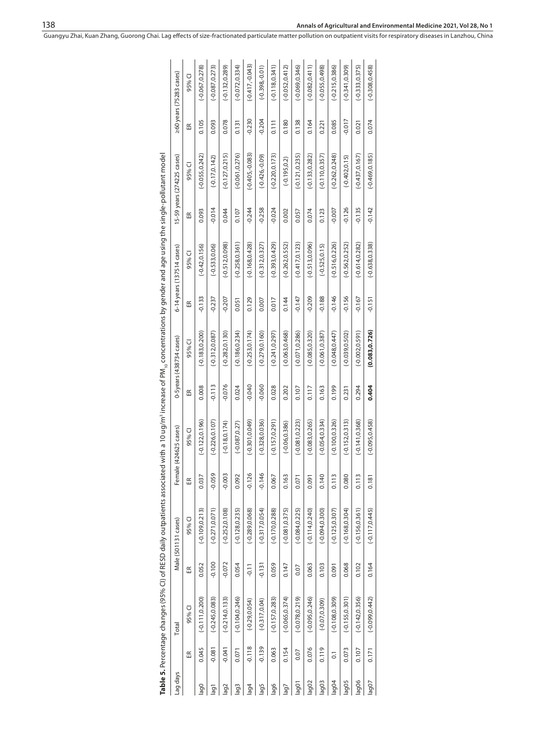|               |                |                   |          | Table 5. Percentage changes (95% CI) of RESD daily outpatients associated with a 10 ug/m <sup>3</sup> increase of PM <sub>in</sub> concentrations by gender and age using the single-pollutant model |          |                   |          |                              |          |                           |          |                            |          |                               |
|---------------|----------------|-------------------|----------|------------------------------------------------------------------------------------------------------------------------------------------------------------------------------------------------------|----------|-------------------|----------|------------------------------|----------|---------------------------|----------|----------------------------|----------|-------------------------------|
| Lag days      |                | Total             |          | Male (501131 cases)                                                                                                                                                                                  | Femal    | le (424625 cases) |          | $0-5$ years $(438734$ cases) |          | 6-14 years (137514 cases) |          | 15-59 years (274225 cases) |          | $\geq$ 60 years (75283 cases) |
|               | Æ              | 95% CI            | Æ        | 95% CI                                                                                                                                                                                               | Æ        | 95% CI            | Æ        | 95% CI                       | Æ        | 95% CI                    | Æ        | 95% CI                     | Æ        | 95% CI                        |
| $_{\rm{log}}$ | 0.045          | $(-0.111, 0.200)$ | 0.052    | $(-0.109, 0.213)$                                                                                                                                                                                    | 0.037    | $(-0.122, 0.196)$ | 0.008    | $(-0.183, 0.200)$            | $-0.133$ | $(-0.42, 0.156)$          | 0.093    | $(-0.055, 0.242)$          | 0.105    | $(-0.067, 0.278)$             |
| lag1          | $-0.081$       | $(-0.245, 0.083)$ | $-0.100$ | $(-0.271, 0.071)$                                                                                                                                                                                    | $-0.059$ | $(-0.226, 0.107)$ | $-0.113$ | $(-0.312, 0.087)$            | $-0.237$ | $(-0.533, 0.06)$          | $-0.014$ | $(-0.17, 0.142)$           | 0.093    | $(-0.087, 0.273)$             |
| lag2          | $-0.041$       | $(-0.214, 0.133)$ | $-0.072$ | $(-0.252, 0.108)$                                                                                                                                                                                    | $-0.003$ | $(-0.18, 0.174)$  | $-0.076$ | $(-0.282, 0.130)$            | $-0.207$ | $(-0.512, 0.098)$         | 0.044    | $(-0.127, 0.215)$          | 0.078    | $(-0.132, 0.289)$             |
| lag3          | 0.071          | $(-0.104, 0.246)$ | 0.054    | $(-0.128, 0.235)$                                                                                                                                                                                    | 0.092    | $(-0.087, 0.27)$  | 0.024    | $(-0.186, 0.234)$            | 0.051    | $(-0.258, 0.361)$         | 0.107    | $(-0.061, 0.276)$          | 0.131    | $(-0.072, 0.334)$             |
| $\frac{1}{4}$ | $-0.118$       | $(-0.29, 0.054)$  | $-0.11$  | $(-0.289, 0.068)$                                                                                                                                                                                    | $-0.126$ | $(-0.301, 0.049)$ | $-0.040$ | $(-0.253, 0.174)$            | 0.129    | $(-0.168, 0.428)$         | $-0.244$ | $(-0.405,-0.083)$          | $-0.230$ | $(-0.417,-0.043)$             |
| lag5          | $-0.139$       | $(-0.317, 0.04)$  | $-0.131$ | $(-0.317, 0.054)$                                                                                                                                                                                    | $-0.146$ | $(-0.328, 0.036)$ | $-0.060$ | $(-0.279, 0.160)$            | 0.007    | $(-0.312, 0.327)$         | $-0.258$ | $(-0.426,-0.09)$           | $-0.204$ | $(-0.398,-0.01)$              |
| lag6          | 0.063          | $(-0.157, 0.283)$ | 0.059    | $(-0.170, 0.288)$                                                                                                                                                                                    | 0.067    | $(-0.157, 0.291)$ | 0.028    | $(-0.241, 0.297)$            | 0.017    | $(-0.393, 0.429)$         | $-0.024$ | $(-0.220, 0.173)$          | 0.111    | $(-0.118, 0.341)$             |
| lag7          | 0.154          | $(-0.065, 0.374)$ | 0.147    | $(-0.081, 0.375)$                                                                                                                                                                                    | 0.163    | $(-0.06, 0.386)$  | 0.202    | $(-0.063, 0.468)$            | 0.144    | $(-0.262, 0.552)$         | 0.002    | $(-0.195, 0.2)$            | 0.180    | $(-0.052, 0.412)$             |
| lag01         | 0.07           | $(-0.078, 0.219)$ | 0.07     | $(-0.084, 0.225)$                                                                                                                                                                                    | 0.071    | $(-0.081, 0.223)$ | 0.107    | $(-0.071, 0.286)$            | $-0.147$ | $(-0.417, 0.123)$         | 0.057    | $(-0.121, 0.235)$          | 0.138    | $(-0.069, 0.346)$             |
| lag02         | 0.076          | $(-0.095, 0.246)$ | 0.063    | $(-0.114, 0.240)$                                                                                                                                                                                    | 0.091    | $(-0.083, 0.265)$ | 0.117    | $(-0.085, 0.320)$            | $-0.209$ | $(-0.513, 0.096)$         | 0.074    | $(-0.133, 0.282)$          | 0.164    | $(-0.082, 0.411)$             |
| lag03         | 0.119          | $(-0.07, 0.309)$  | 0.103    | $(-0.094, 0.300)$                                                                                                                                                                                    | 0.140    | $(-0.054, 0.334)$ | 0.163    | $(-0.061, 0.387)$            | $-0.188$ | $(-0.525, 0.15)$          | 0.123    | $(-0.110, 0.357)$          | 0.221    | $(-0.055, 0.498)$             |
| lag04         | $\overline{0}$ | $(-0.108, 0.309)$ | 0.091    | $(-0.125, 0.307)$                                                                                                                                                                                    | 0.113    | $(-0.100, 0.326)$ | 0.199    | $(-0.048, 0.447)$            | $-0.146$ | $(-0.516, 0.226)$         | $-0.007$ | $(-0.262, 0.248)$          | 0.085    | $(-0.215, 0.386)$             |
| lag05         | 0.073          | $(-0.155, 0.301)$ | 0.068    | $(-0.168, 0.304)$                                                                                                                                                                                    | 0.080    | $(-0.152, 0.313)$ | 0.231    | $(-0.039, 0.502)$            | $-0.156$ | $(-0.562, 0.252)$         | $-0.126$ | $(-0.402, 0.15)$           | $-0.017$ | $(-0.341, 0.309)$             |
| lag06         | 0.107          | $(-0.142, 0.356)$ | 0.102    | $(-0.156, 0.361)$                                                                                                                                                                                    | 0.113    | $(-0.141, 0.368)$ | 0.294    | $(-0.002, 0.591)$            | $-0.167$ | $(-0.614, 0.282)$         | $-0.135$ | $(-0.437, 0.167)$          | 0.021    | $(-0.333, 0.375)$             |
| lag07         | 0.171          | $(-0.099, 0.442)$ | 0.164    | $(-0.117, 0.445)$                                                                                                                                                                                    | 0.181    | $(-0.095, 0.458)$ | 0.404    | (0.083, 0.726)               | $-0.151$ | $(-0.638, 0.338)$         | $-0.142$ | $(-0.469, 0.185)$          | 0.074    | $(-0.308, 0.458)$             |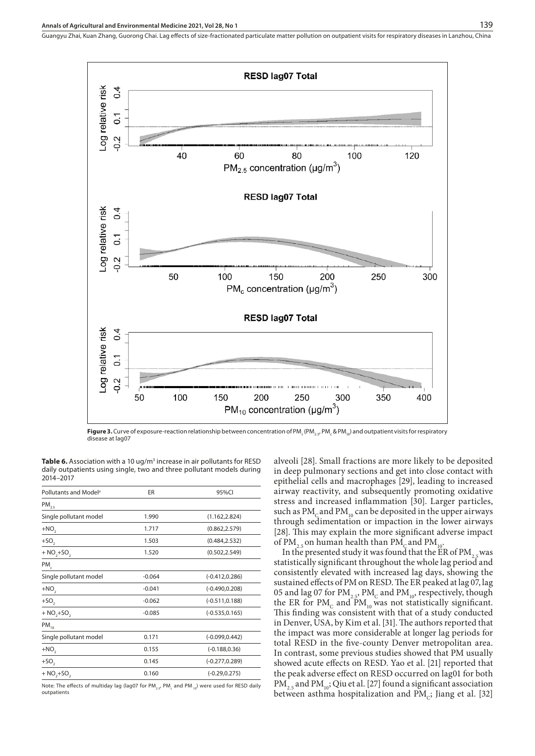

**Figure 3.** Curve of exposure-reaction relationship between concentration of PM<sub>s</sub> (PM<sub>2.5</sub>, PM<sub>c</sub> & PM<sub>10</sub>) and outpatient visits for respiratory disease at lag07

**Table 6.** Association with a 10 ug/m<sup>3</sup> increase in air pollutants for RESD daily outpatients using single, two and three pollutant models during 2014–2017

| Pollutants and Model <sup>a</sup> | ER       | 95%CI             |
|-----------------------------------|----------|-------------------|
| $PM_{2.5}$                        |          |                   |
| Single pollutant model            | 1.990    | (1.162, 2.824)    |
| $+NO2$                            | 1.717    | (0.862, 2.579)    |
| $+SO2$                            | 1.503    | (0.484, 2.532)    |
| $+ NO, + SO,$                     | 1.520    | (0.502, 2.549)    |
| PM                                |          |                   |
| Single pollutant model            | $-0.064$ | $(-0.412, 0.286)$ |
| $+NO2$                            | $-0.041$ | $(-0.490, 0.208)$ |
| $+SO2$                            | $-0.062$ | $(-0.511, 0.188)$ |
| $+ NO, + SO,$                     | $-0.085$ | $(-0.535, 0.165)$ |
| $PM_{10}$                         |          |                   |
| Single pollutant model            | 0.171    | $(-0.099, 0.442)$ |
| $+NO2$                            | 0.155    | $(-0.188, 0.36)$  |
| $+SO2$                            | 0.145    | $(-0.277, 0.289)$ |
| $+ NO, + SO,$                     | 0.160    | $(-0.29, 0.275)$  |

Note: The effects of multiday lag (lag07 for PM<sub>2.5</sub>, PM<sub>c</sub> and PM  $_{10}$ ) were used for RESD daily outpatients

alveoli [28]. Small fractions are more likely to be deposited in deep pulmonary sections and get into close contact with epithelial cells and macrophages [29], leading to increased airway reactivity, and subsequently promoting oxidative stress and increased inflammation [30]. Larger particles, such as  $PM<sub>c</sub>$  and  $PM<sub>10</sub>$  can be deposited in the upper airways through sedimentation or impaction in the lower airways [28]. This may explain the more significant adverse impact of PM<sub>2.5</sub> on human health than PM<sub>c</sub> and PM<sub>1</sub>

In the presented study it was found that the  $ER$  of PM<sub>2</sub>.5 was statistically significant throughout the whole lag period and consistently elevated with increased lag days, showing the sustained effects of PM on RESD. The ER peaked at lag 07, lag 05 and lag 07 for  $\text{PM}_{2.5}$ ,  $\text{PM}_{\text{C}}$  and  $\text{PM}_{10}$ , respectively, though the ER for  $PM_c$  and  $PM_{10}$  was not statistically significant. This finding was consistent with that of a study conducted in Denver, USA, by Kim et al. [31]. The authors reported that the impact was more considerable at longer lag periods for total RESD in the five-county Denver metropolitan area. In contrast, some previous studies showed that PM usually showed acute effects on RESD. Yao et al. [21] reported that the peak adverse effect on RESD occurred on lag01 for both  $\text{PM}_{2.5}$  and  $\text{PM}_{10}$ ; Qiu et al. [27] found a significant association between asthma hospitalization and  $PM<sub>c</sub>$ ; Jiang et al. [32]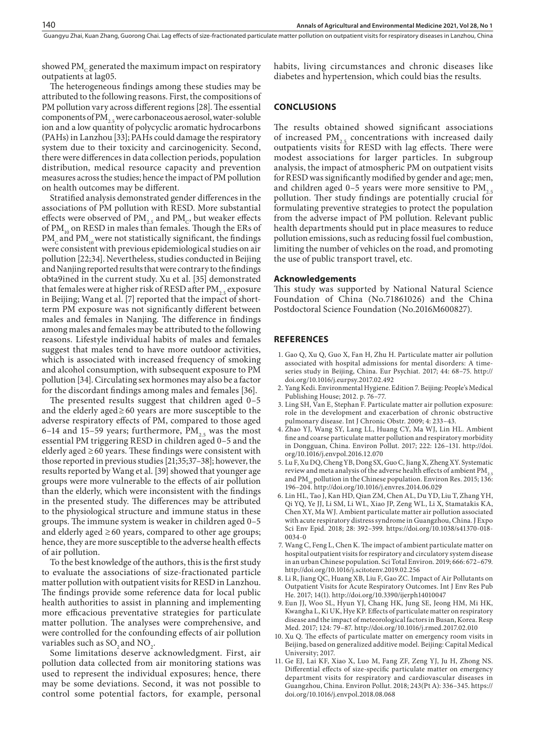showed  $PM<sub>c</sub>$  generated the maximum impact on respiratory outpatients at lag05.

The heterogeneous findings among these studies may be attributed to the following reasons. First, the compositions of PM pollution vary across different regions [28]. The essential components of PM<sub>2.5</sub> were carbonaceous aerosol, water-soluble ion and a low quantity of polycyclic aromatic hydrocarbons (PAHs) in Lanzhou [33]; PAHs could damage the respiratory system due to their toxicity and carcinogenicity. Second, there were differences in data collection periods, population distribution, medical resource capacity and prevention measures across the studies; hence the impact of PM pollution on health outcomes may be different.

Stratified analysis demonstrated gender differences in the associations of PM pollution with RESD. More substantial effects were observed of  $PM_{2,5}$  and  $PM_{c}$ , but weaker effects of  $PM_{10}$  on RESD in males than females. Though the ERs of  $PM<sub>c</sub>$  and  $PM<sub>10</sub>$  were not statistically significant, the findings were consistent with previous epidemiological studies on air pollution [22;34]. Nevertheless, studies conducted in Beijing and Nanjing reported results that were contrary to the findings obta9ined in the current study. Xu et al. [35] demonstrated that females were at higher risk of RESD after  $PM_{25}$  exposure in Beijing; Wang et al. [7] reported that the impact of shortterm PM exposure was not significantly different between males and females in Nanjing. The difference in findings among males and females may be attributed to the following reasons. Lifestyle individual habits of males and females suggest that males tend to have more outdoor activities, which is associated with increased frequency of smoking and alcohol consumption, with subsequent exposure to PM pollution [34]. Circulating sex hormones may also be a factor for the discordant findings among males and females [36].

The presented results suggest that children aged 0–5 and the elderly aged≥60 years are more susceptible to the adverse respiratory effects of PM, compared to those aged 6–14 and 15–59 years; furthermore,  $PM_{2.5}$  was the most essential PM triggering RESD in children aged 0–5 and the elderly aged  $\geq 60$  years. These findings were consistent with those reported in previous studies [21;35;37–38]; however, the results reported by Wang et al. [39] showed that younger age groups were more vulnerable to the effects of air pollution than the elderly, which were inconsistent with the findings in the presented study. The differences may be attributed to the physiological structure and immune status in these groups. The immune system is weaker in children aged 0–5 and elderly aged  $\geq 60$  years, compared to other age groups; hence, they are more susceptible to the adverse health effects of air pollution.

To the best knowledge of the authors, this is the first study to evaluate the associations of size-fractionated particle matter pollution with outpatient visits for RESD in Lanzhou. The findings provide some reference data for local public health authorities to assist in planning and implementing more efficacious preventative strategies for particulate matter pollution. The analyses were comprehensive, and were controlled for the confounding effects of air pollution variables such as  $SO_2$  and  $NO_2$ .

Some limitations deserve acknowledgment. First, air pollution data collected from air monitoring stations was used to represent the individual exposures; hence, there may be some deviations. Second, it was not possible to control some potential factors, for example, personal

habits, living circumstances and chronic diseases like diabetes and hypertension, which could bias the results.

### **CONCLUSIONS**

The results obtained showed significant associations of increased  $PM_{2.5}$  concentrations with increased daily outpatients visits for RESD with lag effects. There were modest associations for larger particles. In subgroup analysis, the impact of atmospheric PM on outpatient visits for RESD was significantly modified by gender and age; men, and children aged 0–5 years were more sensitive to  $PM$ <sub>2.5</sub> pollution. Ther study findings are potentially crucial for formulating preventive strategies to protect the population from the adverse impact of PM pollution. Relevant public health departments should put in place measures to reduce pollution emissions, such as reducing fossil fuel combustion, limiting the number of vehicles on the road, and promoting the use of public transport travel, etc.

#### **Acknowledgements**

This study was supported by National Natural Science Foundation of China (No.71861026) and the China Postdoctoral Science Foundation (No.2016M600827).

#### **REFERENCES**

- 1. Gao Q, Xu Q, Guo X, Fan H, Zhu H. Particulate matter air pollution associated with hospital admissions for mental disorders: A timeseries study in Beijing, China. Eur Psychiat*.* 2017; 44: 68–75. [http://](http://doi.org/10.1016/j.eurpsy.2017.02.492) [doi.org/10.1016/j.eurpsy.2017.02.492](http://doi.org/10.1016/j.eurpsy.2017.02.492)
- 2. Yang Kedi. Environmental Hygiene. Edition 7. Beijing: People's Medical Publishing House; 2012. p. 76–77.
- 3. Ling SH, Van E, Stephan F. Particulate matter air pollution exposure: role in the development and exacerbation of chronic obstructive pulmonary disease. Int J Chronic Obstr. 2009; 4: 233–43.
- 4. Zhao YJ, Wang SY, Lang LL, Huang CY, Ma WJ, Lin HL. Ambient fine and coarse particulate matter pollution and respiratory morbidity in Dongguan, China. Environ Pollut. 2017; 222: 126–131. [http://doi.](http://doi.org/10.1016/j.envpol.2016.12.070) [org/10.1016/j.envpol.2016.12.070](http://doi.org/10.1016/j.envpol.2016.12.070)
- 5. Lu F, [Xu DQ](http://apps.webofknowledge.com/OutboundService.do?SID=6AAjaCN4zJBSMAKbvOd&mode=rrcAuthorRecordService&action=go&product=WOS&lang=zh_CN&daisIds=1352349), [Cheng YB,](http://apps.webofknowledge.com/OutboundService.do?SID=6AAjaCN4zJBSMAKbvOd&mode=rrcAuthorRecordService&action=go&product=WOS&lang=zh_CN&daisIds=1676640) [Dong SX,](http://apps.webofknowledge.com/OutboundService.do?SID=6AAjaCN4zJBSMAKbvOd&mode=rrcAuthorRecordService&action=go&product=WOS&lang=zh_CN&daisIds=18467921) [Guo C](http://apps.webofknowledge.com/OutboundService.do?SID=6AAjaCN4zJBSMAKbvOd&mode=rrcAuthorRecordService&action=go&product=WOS&lang=zh_CN&daisIds=1398137), [Jiang X](http://apps.webofknowledge.com/OutboundService.do?SID=6AAjaCN4zJBSMAKbvOd&mode=rrcAuthorRecordService&action=go&product=WOS&lang=zh_CN&daisIds=2400727), [Zheng XY.](http://apps.webofknowledge.com/OutboundService.do?SID=6AAjaCN4zJBSMAKbvOd&mode=rrcAuthorRecordService&action=go&product=WOS&lang=zh_CN&daisIds=76202) Systematic review and meta analysis of the adverse health effects of ambient  $PM_{2.5}$ and PM<sub>10</sub> pollution in the Chinese population. Environ Res. 2015; 136: 196–204.<http://doi.org/10.1016/j.envres.2014.06.029>
- 6. Lin HL, [Tao J,](http://apps.webofknowledge.com/OutboundService.do?SID=6AAjaCN4zJBSMAKbvOd&mode=rrcAuthorRecordService&action=go&product=WOS&lang=zh_CN&daisIds=5014019) [Kan HD,](http://apps.webofknowledge.com/OutboundService.do?SID=6AAjaCN4zJBSMAKbvOd&mode=rrcAuthorRecordService&action=go&product=WOS&lang=zh_CN&daisIds=78189) [Qian ZM](http://apps.webofknowledge.com/OutboundService.do?SID=6AAjaCN4zJBSMAKbvOd&mode=rrcAuthorRecordService&action=go&product=WOS&lang=zh_CN&daisIds=481183), [Chen AL,](http://apps.webofknowledge.com/OutboundService.do?SID=6AAjaCN4zJBSMAKbvOd&mode=rrcAuthorRecordService&action=go&product=WOS&lang=zh_CN&daisIds=3596866) [Du YD](http://apps.webofknowledge.com/OutboundService.do?SID=6AAjaCN4zJBSMAKbvOd&mode=rrcAuthorRecordService&action=go&product=WOS&lang=zh_CN&daisIds=1920937), [Liu T](http://apps.webofknowledge.com/OutboundService.do?SID=6AAjaCN4zJBSMAKbvOd&mode=rrcAuthorRecordService&action=go&product=WOS&lang=zh_CN&daisIds=35145042), [Zhang YH,](http://apps.webofknowledge.com/OutboundService.do?SID=6AAjaCN4zJBSMAKbvOd&mode=rrcAuthorRecordService&action=go&product=WOS&lang=zh_CN&daisIds=182926) [Qi YQ,](http://apps.webofknowledge.com/OutboundService.do?SID=6AAjaCN4zJBSMAKbvOd&mode=rrcAuthorRecordService&action=go&product=WOS&lang=zh_CN&daisIds=1740843) [Ye JJ](http://apps.webofknowledge.com/OutboundService.do?SID=6AAjaCN4zJBSMAKbvOd&mode=rrcAuthorRecordService&action=go&product=WOS&lang=zh_CN&daisIds=1040739), [Li SM,](http://apps.webofknowledge.com/OutboundService.do?SID=6AAjaCN4zJBSMAKbvOd&mode=rrcAuthorRecordService&action=go&product=WOS&lang=zh_CN&daisIds=30714454) [Li WL,](http://apps.webofknowledge.com/OutboundService.do?SID=6AAjaCN4zJBSMAKbvOd&mode=rrcAuthorRecordService&action=go&product=WOS&lang=zh_CN&daisIds=32224122) [Xiao JP,](http://apps.webofknowledge.com/OutboundService.do?SID=6AAjaCN4zJBSMAKbvOd&mode=rrcAuthorRecordService&action=go&product=WOS&lang=zh_CN&daisIds=686706) [Zeng WL](http://apps.webofknowledge.com/OutboundService.do?SID=6AAjaCN4zJBSMAKbvOd&mode=rrcAuthorRecordService&action=go&product=WOS&lang=zh_CN&daisIds=4290893), [Li X](http://apps.webofknowledge.com/OutboundService.do?SID=6AAjaCN4zJBSMAKbvOd&mode=rrcAuthorRecordService&action=go&product=WOS&lang=zh_CN&daisIds=1378063), [Stamatakis KA,](http://apps.webofknowledge.com/OutboundService.do?SID=6AAjaCN4zJBSMAKbvOd&mode=rrcAuthorRecordService&action=go&product=WOS&lang=zh_CN&daisIds=950302) [Chen XY,](http://apps.webofknowledge.com/OutboundService.do?SID=6AAjaCN4zJBSMAKbvOd&mode=rrcAuthorRecordService&action=go&product=WOS&lang=zh_CN&daisIds=3402820) [Ma WJ](http://apps.webofknowledge.com/OutboundService.do?SID=6AAjaCN4zJBSMAKbvOd&mode=rrcAuthorRecordService&action=go&product=WOS&lang=zh_CN&daisIds=21125307). Ambient particulate matter air pollution associated with acute respiratory distress syndrome in Guangzhou, China. J Expo Sci Env Epid. 2018; 28: 392–399. [https://doi.org/10.1038/s41370-018-](https://doi.org/10.1038/s41370-018-0034-0) [0034-0](https://doi.org/10.1038/s41370-018-0034-0)
- 7. Wang C, Feng L, Chen K. The impact of ambient particulate matter on hospital outpatient visits for respiratory and circulatory system disease in an urban Chinese population. Sci Total Environ. 2019; 666: 672–679. <http://doi.org/10.1016/j.scitotenv.2019.02.256>
- 8. Li R, Jiang QC, Huang XB, Liu F, Gao ZC. Impact of Air Pollutants on Outpatient Visits for Acute Respiratory Outcomes. Int J Env Res Pub He. 2017; 14(1). <http://doi.org/10.3390/ijerph14010047>
- 9. Eun JJ, Woo SL, Hyun YJ, Chang HK, Jung SE, Jeong HM, Mi HK, Kwangha L, Ki UK, Hye KP. Effects of particulate matter on respiratory disease and the impact of meteorological factors in Busan, Korea. Resp Med. 2017; 124: 79–87.<http://doi.org/10.1016/j.rmed.2017.02.010>
- 10. Xu Q. The effects of particulate matter on emergency room visits in Beijing, based on generalized additive model. Beijing: Capital Medical University; 2017.
- 11. Ge EJ, Lai KF, Xiao X, Luo M, Fang ZF, Zeng YJ, Ju H, Zhong NS. Differential effects of size-specific particulate matter on emergency department visits for respiratory and cardiovascular diseases in Guangzhou, China. Environ Pollut. 2018; 243(Pt A): 336–345. [https://](https://doi.org/10.1016/j.envpol.2018.08.068) [doi.org/10.1016/j.envpol.2018.08.068](https://doi.org/10.1016/j.envpol.2018.08.068)